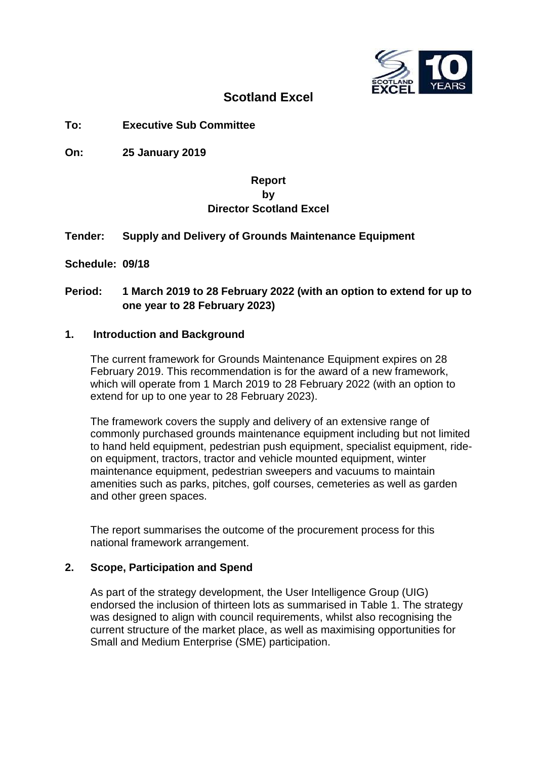

# **Scotland Excel**

# **To: Executive Sub Committee**

**On: 25 January 2019**

# **Report by Director Scotland Excel**

# **Tender: Supply and Delivery of Grounds Maintenance Equipment**

**Schedule: 09/18**

# **Period: 1 March 2019 to 28 February 2022 (with an option to extend for up to one year to 28 February 2023)**

#### **1. Introduction and Background**

The current framework for Grounds Maintenance Equipment expires on 28 February 2019. This recommendation is for the award of a new framework, which will operate from 1 March 2019 to 28 February 2022 (with an option to extend for up to one year to 28 February 2023).

The framework covers the supply and delivery of an extensive range of commonly purchased grounds maintenance equipment including but not limited to hand held equipment, pedestrian push equipment, specialist equipment, rideon equipment, tractors, tractor and vehicle mounted equipment, winter maintenance equipment, pedestrian sweepers and vacuums to maintain amenities such as parks, pitches, golf courses, cemeteries as well as garden and other green spaces.

The report summarises the outcome of the procurement process for this national framework arrangement.

#### **2. Scope, Participation and Spend**

As part of the strategy development, the User Intelligence Group (UIG) endorsed the inclusion of thirteen lots as summarised in Table 1. The strategy was designed to align with council requirements, whilst also recognising the current structure of the market place, as well as maximising opportunities for Small and Medium Enterprise (SME) participation.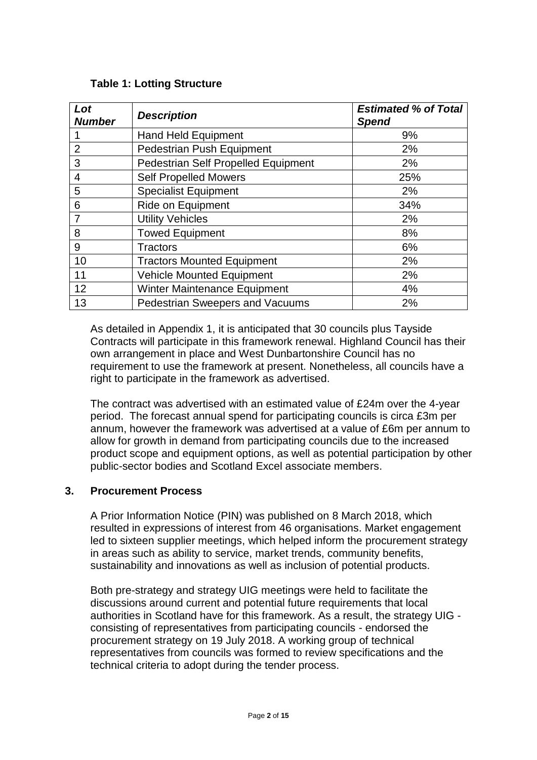| Lot<br><b>Number</b> | <b>Description</b>                         | <b>Estimated % of Total</b><br><b>Spend</b> |
|----------------------|--------------------------------------------|---------------------------------------------|
|                      | <b>Hand Held Equipment</b>                 | 9%                                          |
| $\overline{2}$       | <b>Pedestrian Push Equipment</b>           | 2%                                          |
| 3                    | <b>Pedestrian Self Propelled Equipment</b> | 2%                                          |
| $\overline{4}$       | <b>Self Propelled Mowers</b>               | 25%                                         |
| 5                    | <b>Specialist Equipment</b>                | 2%                                          |
| 6                    | Ride on Equipment                          | 34%                                         |
| 7                    | <b>Utility Vehicles</b>                    | 2%                                          |
| 8                    | <b>Towed Equipment</b>                     | 8%                                          |
| 9                    | <b>Tractors</b>                            | 6%                                          |
| 10                   | <b>Tractors Mounted Equipment</b>          | 2%                                          |
| 11                   | <b>Vehicle Mounted Equipment</b>           | 2%                                          |
| 12                   | <b>Winter Maintenance Equipment</b>        | 4%                                          |
| 13                   | <b>Pedestrian Sweepers and Vacuums</b>     | 2%                                          |

As detailed in Appendix 1, it is anticipated that 30 councils plus Tayside Contracts will participate in this framework renewal. Highland Council has their own arrangement in place and West Dunbartonshire Council has no requirement to use the framework at present. Nonetheless, all councils have a right to participate in the framework as advertised.

The contract was advertised with an estimated value of £24m over the 4-year period. The forecast annual spend for participating councils is circa £3m per annum, however the framework was advertised at a value of £6m per annum to allow for growth in demand from participating councils due to the increased product scope and equipment options, as well as potential participation by other public-sector bodies and Scotland Excel associate members.

# **3. Procurement Process**

A Prior Information Notice (PIN) was published on 8 March 2018, which resulted in expressions of interest from 46 organisations. Market engagement led to sixteen supplier meetings, which helped inform the procurement strategy in areas such as ability to service, market trends, community benefits, sustainability and innovations as well as inclusion of potential products.

Both pre-strategy and strategy UIG meetings were held to facilitate the discussions around current and potential future requirements that local authorities in Scotland have for this framework. As a result, the strategy UIG consisting of representatives from participating councils - endorsed the procurement strategy on 19 July 2018. A working group of technical representatives from councils was formed to review specifications and the technical criteria to adopt during the tender process.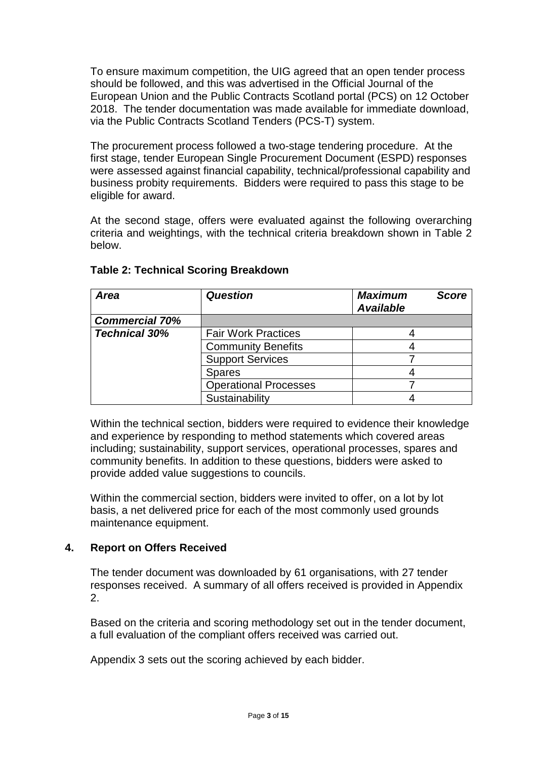To ensure maximum competition, the UIG agreed that an open tender process should be followed, and this was advertised in the Official Journal of the European Union and the Public Contracts Scotland portal (PCS) on 12 October 2018. The tender documentation was made available for immediate download, via the Public Contracts Scotland Tenders (PCS-T) system.

The procurement process followed a two-stage tendering procedure. At the first stage, tender European Single Procurement Document (ESPD) responses were assessed against financial capability, technical/professional capability and business probity requirements. Bidders were required to pass this stage to be eligible for award.

At the second stage, offers were evaluated against the following overarching criteria and weightings, with the technical criteria breakdown shown in Table 2 below.

| Area                  | <b>Question</b>              | <b>Maximum</b><br><b>Available</b> | <b>Score</b> |
|-----------------------|------------------------------|------------------------------------|--------------|
| <b>Commercial 70%</b> |                              |                                    |              |
| <b>Technical 30%</b>  | <b>Fair Work Practices</b>   |                                    |              |
|                       | <b>Community Benefits</b>    |                                    |              |
|                       | <b>Support Services</b>      |                                    |              |
|                       | <b>Spares</b>                |                                    |              |
|                       | <b>Operational Processes</b> |                                    |              |
|                       | Sustainability               |                                    |              |

### **Table 2: Technical Scoring Breakdown**

Within the technical section, bidders were required to evidence their knowledge and experience by responding to method statements which covered areas including; sustainability, support services, operational processes, spares and community benefits. In addition to these questions, bidders were asked to provide added value suggestions to councils.

Within the commercial section, bidders were invited to offer, on a lot by lot basis, a net delivered price for each of the most commonly used grounds maintenance equipment.

# **4. Report on Offers Received**

The tender document was downloaded by 61 organisations, with 27 tender responses received. A summary of all offers received is provided in Appendix 2.

Based on the criteria and scoring methodology set out in the tender document, a full evaluation of the compliant offers received was carried out.

Appendix 3 sets out the scoring achieved by each bidder.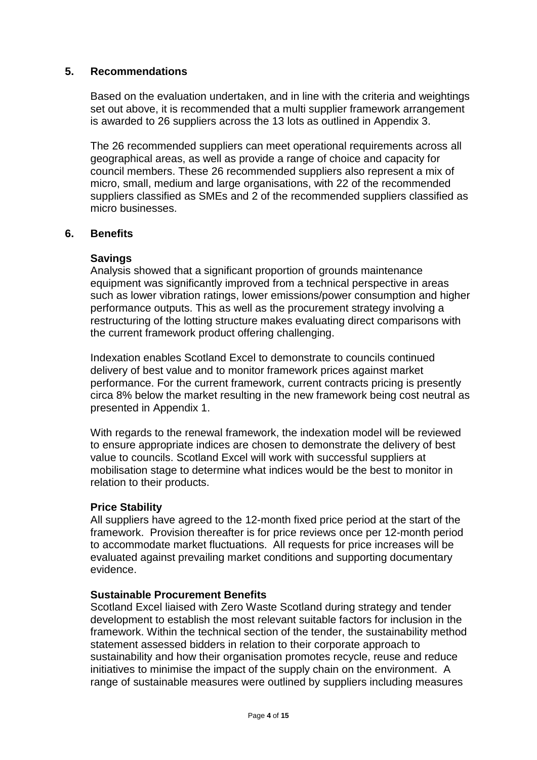#### **5. Recommendations**

Based on the evaluation undertaken, and in line with the criteria and weightings set out above, it is recommended that a multi supplier framework arrangement is awarded to 26 suppliers across the 13 lots as outlined in Appendix 3.

The 26 recommended suppliers can meet operational requirements across all geographical areas, as well as provide a range of choice and capacity for council members. These 26 recommended suppliers also represent a mix of micro, small, medium and large organisations, with 22 of the recommended suppliers classified as SMEs and 2 of the recommended suppliers classified as micro businesses.

#### **6. Benefits**

#### **Savings**

Analysis showed that a significant proportion of grounds maintenance equipment was significantly improved from a technical perspective in areas such as lower vibration ratings, lower emissions/power consumption and higher performance outputs. This as well as the procurement strategy involving a restructuring of the lotting structure makes evaluating direct comparisons with the current framework product offering challenging.

Indexation enables Scotland Excel to demonstrate to councils continued delivery of best value and to monitor framework prices against market performance. For the current framework, current contracts pricing is presently circa 8% below the market resulting in the new framework being cost neutral as presented in Appendix 1.

With regards to the renewal framework, the indexation model will be reviewed to ensure appropriate indices are chosen to demonstrate the delivery of best value to councils. Scotland Excel will work with successful suppliers at mobilisation stage to determine what indices would be the best to monitor in relation to their products.

#### **Price Stability**

All suppliers have agreed to the 12-month fixed price period at the start of the framework. Provision thereafter is for price reviews once per 12-month period to accommodate market fluctuations. All requests for price increases will be evaluated against prevailing market conditions and supporting documentary evidence.

#### **Sustainable Procurement Benefits**

Scotland Excel liaised with Zero Waste Scotland during strategy and tender development to establish the most relevant suitable factors for inclusion in the framework. Within the technical section of the tender, the sustainability method statement assessed bidders in relation to their corporate approach to sustainability and how their organisation promotes recycle, reuse and reduce initiatives to minimise the impact of the supply chain on the environment. A range of sustainable measures were outlined by suppliers including measures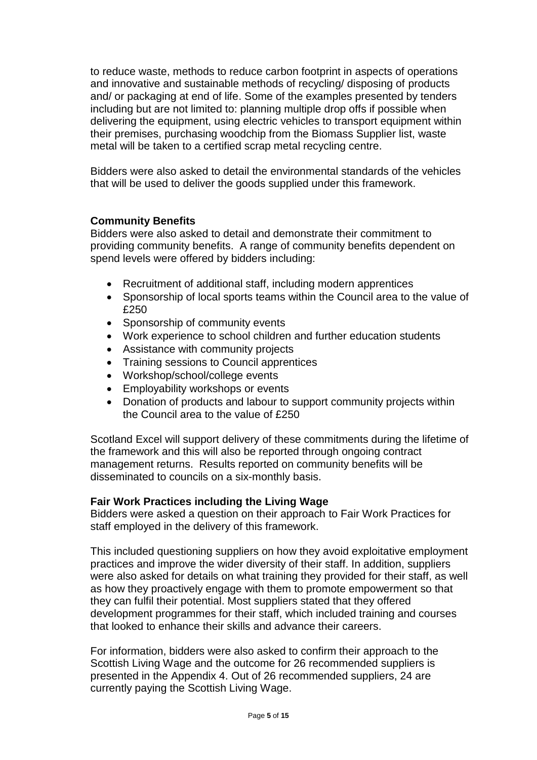to reduce waste, methods to reduce carbon footprint in aspects of operations and innovative and sustainable methods of recycling/ disposing of products and/ or packaging at end of life. Some of the examples presented by tenders including but are not limited to: planning multiple drop offs if possible when delivering the equipment, using electric vehicles to transport equipment within their premises, purchasing woodchip from the Biomass Supplier list, waste metal will be taken to a certified scrap metal recycling centre.

Bidders were also asked to detail the environmental standards of the vehicles that will be used to deliver the goods supplied under this framework.

# **Community Benefits**

Bidders were also asked to detail and demonstrate their commitment to providing community benefits. A range of community benefits dependent on spend levels were offered by bidders including:

- Recruitment of additional staff, including modern apprentices
- Sponsorship of local sports teams within the Council area to the value of £250
- Sponsorship of community events
- Work experience to school children and further education students
- Assistance with community projects
- Training sessions to Council apprentices
- Workshop/school/college events
- Employability workshops or events
- Donation of products and labour to support community projects within the Council area to the value of £250

Scotland Excel will support delivery of these commitments during the lifetime of the framework and this will also be reported through ongoing contract management returns. Results reported on community benefits will be disseminated to councils on a six-monthly basis.

#### **Fair Work Practices including the Living Wage**

Bidders were asked a question on their approach to Fair Work Practices for staff employed in the delivery of this framework.

This included questioning suppliers on how they avoid exploitative employment practices and improve the wider diversity of their staff. In addition, suppliers were also asked for details on what training they provided for their staff, as well as how they proactively engage with them to promote empowerment so that they can fulfil their potential. Most suppliers stated that they offered development programmes for their staff, which included training and courses that looked to enhance their skills and advance their careers.

For information, bidders were also asked to confirm their approach to the Scottish Living Wage and the outcome for 26 recommended suppliers is presented in the Appendix 4. Out of 26 recommended suppliers, 24 are currently paying the Scottish Living Wage.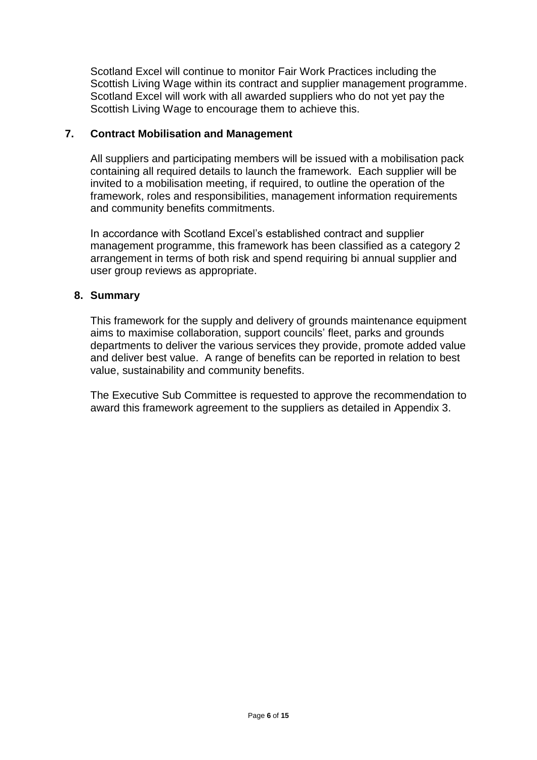Scotland Excel will continue to monitor Fair Work Practices including the Scottish Living Wage within its contract and supplier management programme. Scotland Excel will work with all awarded suppliers who do not yet pay the Scottish Living Wage to encourage them to achieve this.

#### **7. Contract Mobilisation and Management**

All suppliers and participating members will be issued with a mobilisation pack containing all required details to launch the framework. Each supplier will be invited to a mobilisation meeting, if required, to outline the operation of the framework, roles and responsibilities, management information requirements and community benefits commitments.

In accordance with Scotland Excel's established contract and supplier management programme, this framework has been classified as a category 2 arrangement in terms of both risk and spend requiring bi annual supplier and user group reviews as appropriate.

#### **8. Summary**

This framework for the supply and delivery of grounds maintenance equipment aims to maximise collaboration, support councils' fleet, parks and grounds departments to deliver the various services they provide, promote added value and deliver best value. A range of benefits can be reported in relation to best value, sustainability and community benefits.

The Executive Sub Committee is requested to approve the recommendation to award this framework agreement to the suppliers as detailed in Appendix 3.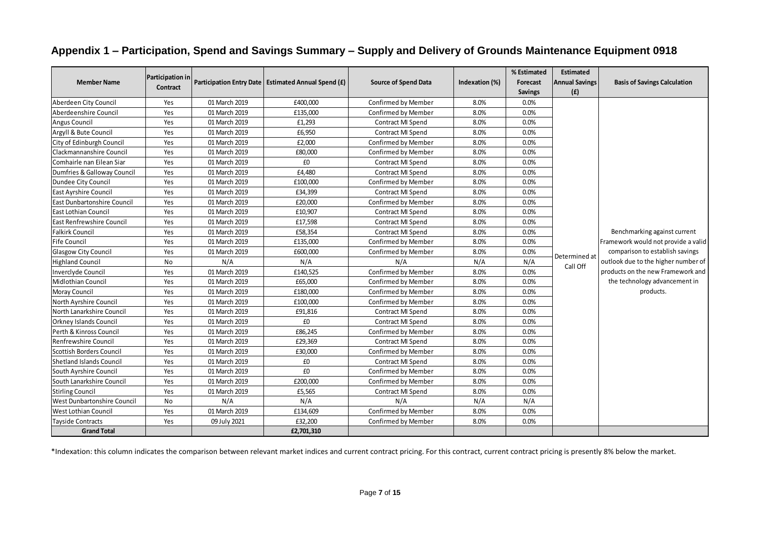|  |  |  | Appendix 1 – Participation, Spend and Savings Summary – Supply and Delivery of Grounds Maintenance Equipment 0918 |  |
|--|--|--|-------------------------------------------------------------------------------------------------------------------|--|
|--|--|--|-------------------------------------------------------------------------------------------------------------------|--|

|                                  |                                     |               |                                                       |                             |                | % Estimated    | <b>Estimated</b>      |                                                                        |
|----------------------------------|-------------------------------------|---------------|-------------------------------------------------------|-----------------------------|----------------|----------------|-----------------------|------------------------------------------------------------------------|
| <b>Member Name</b>               | <b>Participation in</b><br>Contract |               | Participation Entry Date   Estimated Annual Spend (£) | <b>Source of Spend Data</b> | Indexation (%) | Forecast       | <b>Annual Savings</b> | <b>Basis of Savings Calculation</b>                                    |
|                                  |                                     |               |                                                       |                             |                | <b>Savings</b> | (f)                   |                                                                        |
| Aberdeen City Council            | Yes                                 | 01 March 2019 | £400,000                                              | Confirmed by Member         | 8.0%           | 0.0%           |                       |                                                                        |
| Aberdeenshire Council            | Yes                                 | 01 March 2019 | £135,000                                              | Confirmed by Member         | 8.0%           | 0.0%           |                       |                                                                        |
| <b>Angus Council</b>             | Yes                                 | 01 March 2019 | £1,293                                                | Contract MI Spend           | 8.0%           | 0.0%           |                       |                                                                        |
| Argyll & Bute Council            | Yes                                 | 01 March 2019 | £6,950                                                | Contract MI Spend           | 8.0%           | 0.0%           |                       |                                                                        |
| City of Edinburgh Council        | Yes                                 | 01 March 2019 | £2,000                                                | Confirmed by Member         | 8.0%           | 0.0%           |                       |                                                                        |
| Clackmannanshire Council         | Yes                                 | 01 March 2019 | £80,000                                               | Confirmed by Member         | 8.0%           | 0.0%           |                       |                                                                        |
| Comhairle nan Eilean Siar        | Yes                                 | 01 March 2019 | £0                                                    | Contract MI Spend           | 8.0%           | 0.0%           |                       |                                                                        |
| Dumfries & Galloway Council      | Yes                                 | 01 March 2019 | £4,480                                                | Contract MI Spend           | 8.0%           | 0.0%           |                       |                                                                        |
| Dundee City Council              | Yes                                 | 01 March 2019 | £100.000                                              | Confirmed by Member         | 8.0%           | 0.0%           |                       |                                                                        |
| East Ayrshire Council            | Yes                                 | 01 March 2019 | £34,399                                               | Contract MI Spend           | 8.0%           | 0.0%           |                       |                                                                        |
| East Dunbartonshire Council      | Yes                                 | 01 March 2019 | £20,000                                               | Confirmed by Member         | 8.0%           | 0.0%           |                       |                                                                        |
| East Lothian Council             | Yes                                 | 01 March 2019 | £10,907                                               | Contract MI Spend           | 8.0%           | 0.0%           |                       |                                                                        |
| <b>East Renfrewshire Council</b> | Yes                                 | 01 March 2019 | £17,598                                               | Contract MI Spend           | 8.0%           | 0.0%           |                       |                                                                        |
| <b>Falkirk Council</b>           | Yes                                 | 01 March 2019 | £58,354                                               | Contract MI Spend           | 8.0%           | 0.0%           |                       | Benchmarking against current                                           |
| <b>Fife Council</b>              | Yes                                 | 01 March 2019 | £135,000                                              | Confirmed by Member         | 8.0%           | 0.0%           |                       | Framework would not provide a valid<br>comparison to establish savings |
| <b>Glasgow City Council</b>      | Yes                                 | 01 March 2019 | £600,000                                              | Confirmed by Member         | 8.0%           | 0.0%           | Determined at         |                                                                        |
| <b>Highland Council</b>          | No                                  | N/A           | N/A                                                   | N/A                         | N/A            | N/A            | Call Off              | outlook due to the higher number of                                    |
| Inverclyde Council               | Yes                                 | 01 March 2019 | £140,525                                              | Confirmed by Member         | 8.0%           | 0.0%           |                       | products on the new Framework and                                      |
| <b>Midlothian Council</b>        | Yes                                 | 01 March 2019 | £65,000                                               | Confirmed by Member         | 8.0%           | 0.0%           |                       | the technology advancement in                                          |
| Moray Council                    | Yes                                 | 01 March 2019 | £180,000                                              | Confirmed by Member         | 8.0%           | 0.0%           |                       | products.                                                              |
| North Ayrshire Council           | Yes                                 | 01 March 2019 | £100,000                                              | Confirmed by Member         | 8.0%           | 0.0%           |                       |                                                                        |
| North Lanarkshire Council        | Yes                                 | 01 March 2019 | £91,816                                               | Contract MI Spend           | 8.0%           | 0.0%           |                       |                                                                        |
| <b>Orkney Islands Council</b>    | Yes                                 | 01 March 2019 | £0                                                    | Contract MI Spend           | 8.0%           | 0.0%           |                       |                                                                        |
| Perth & Kinross Council          | Yes                                 | 01 March 2019 | £86,245                                               | Confirmed by Member         | 8.0%           | 0.0%           |                       |                                                                        |
| Renfrewshire Council             | Yes                                 | 01 March 2019 | £29,369                                               | Contract MI Spend           | 8.0%           | 0.0%           |                       |                                                                        |
| <b>Scottish Borders Council</b>  | Yes                                 | 01 March 2019 | £30,000                                               | Confirmed by Member         | 8.0%           | 0.0%           |                       |                                                                        |
| Shetland Islands Council         | Yes                                 | 01 March 2019 | £0                                                    | Contract MI Spend           | 8.0%           | 0.0%           |                       |                                                                        |
| South Ayrshire Council           | Yes                                 | 01 March 2019 | £0                                                    | Confirmed by Member         | 8.0%           | 0.0%           |                       |                                                                        |
| South Lanarkshire Council        | Yes                                 | 01 March 2019 | £200,000                                              | Confirmed by Member         | 8.0%           | 0.0%           |                       |                                                                        |
| <b>Stirling Council</b>          | Yes                                 | 01 March 2019 | £5,565                                                | Contract MI Spend           | 8.0%           | 0.0%           |                       |                                                                        |
| West Dunbartonshire Council      | No                                  | N/A           | N/A                                                   | N/A                         | N/A            | N/A            |                       |                                                                        |
| <b>West Lothian Council</b>      | Yes                                 | 01 March 2019 | £134,609                                              | Confirmed by Member         | 8.0%           | 0.0%           |                       |                                                                        |
| <b>Tayside Contracts</b>         | Yes                                 | 09 July 2021  | £32,200                                               | Confirmed by Member         | 8.0%           | 0.0%           |                       |                                                                        |
| <b>Grand Total</b>               |                                     |               | £2,701,310                                            |                             |                |                |                       |                                                                        |

\*Indexation: this column indicates the comparison between relevant market indices and current contract pricing. For this contract, current contract pricing is presently 8% below the market.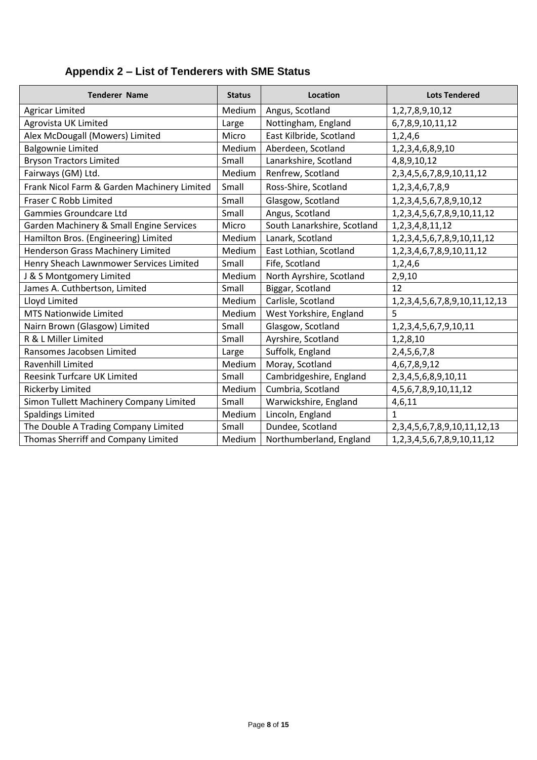# **Appendix 2 – List of Tenderers with SME Status**

| <b>Tenderer Name</b>                        | <b>Status</b> | <b>Location</b>             | <b>Lots Tendered</b>                      |
|---------------------------------------------|---------------|-----------------------------|-------------------------------------------|
| <b>Agricar Limited</b>                      | Medium        | Angus, Scotland             | 1,2,7,8,9,10,12                           |
| Agrovista UK Limited                        | Large         | Nottingham, England         | 6,7,8,9,10,11,12                          |
| Alex McDougall (Mowers) Limited             | Micro         | East Kilbride, Scotland     | 1,2,4,6                                   |
| <b>Balgownie Limited</b>                    | <b>Medium</b> | Aberdeen, Scotland          | 1,2,3,4,6,8,9,10                          |
| <b>Bryson Tractors Limited</b>              | Small         | Lanarkshire, Scotland       | 4,8,9,10,12                               |
| Fairways (GM) Ltd.                          | Medium        | Renfrew, Scotland           | 2, 3, 4, 5, 6, 7, 8, 9, 10, 11, 12        |
| Frank Nicol Farm & Garden Machinery Limited | Small         | Ross-Shire, Scotland        | 1, 2, 3, 4, 6, 7, 8, 9                    |
| Fraser C Robb Limited                       | Small         | Glasgow, Scotland           | 1,2,3,4,5,6,7,8,9,10,12                   |
| Gammies Groundcare Ltd                      | Small         | Angus, Scotland             | 1,2,3,4,5,6,7,8,9,10,11,12                |
| Garden Machinery & Small Engine Services    | Micro         | South Lanarkshire, Scotland | 1, 2, 3, 4, 8, 11, 12                     |
| Hamilton Bros. (Engineering) Limited        | Medium        | Lanark, Scotland            | 1, 2, 3, 4, 5, 6, 7, 8, 9, 10, 11, 12     |
| Henderson Grass Machinery Limited           | Medium        | East Lothian, Scotland      | 1, 2, 3, 4, 6, 7, 8, 9, 10, 11, 12        |
| Henry Sheach Lawnmower Services Limited     | Small         | Fife, Scotland              | 1,2,4,6                                   |
| J & S Montgomery Limited                    | Medium        | North Ayrshire, Scotland    | 2,9,10                                    |
| James A. Cuthbertson, Limited               | Small         | Biggar, Scotland            | 12                                        |
| Lloyd Limited                               | Medium        | Carlisle, Scotland          | 1, 2, 3, 4, 5, 6, 7, 8, 9, 10, 11, 12, 13 |
| <b>MTS Nationwide Limited</b>               | Medium        | West Yorkshire, England     | 5                                         |
| Nairn Brown (Glasgow) Limited               | Small         | Glasgow, Scotland           | 1,2,3,4,5,6,7,9,10,11                     |
| R & L Miller Limited                        | Small         | Ayrshire, Scotland          | 1,2,8,10                                  |
| Ransomes Jacobsen Limited                   | Large         | Suffolk, England            | 2,4,5,6,7,8                               |
| Ravenhill Limited                           | Medium        | Moray, Scotland             | 4, 6, 7, 8, 9, 12                         |
| <b>Reesink Turfcare UK Limited</b>          | Small         | Cambridgeshire, England     | 2,3,4,5,6,8,9,10,11                       |
| <b>Rickerby Limited</b>                     | Medium        | Cumbria, Scotland           | 4,5,6,7,8,9,10,11,12                      |
| Simon Tullett Machinery Company Limited     | Small         | Warwickshire, England       | 4,6,11                                    |
| <b>Spaldings Limited</b>                    | Medium        | Lincoln, England            | $\mathbf{1}$                              |
| The Double A Trading Company Limited        | Small         | Dundee, Scotland            | 2, 3, 4, 5, 6, 7, 8, 9, 10, 11, 12, 13    |
| Thomas Sherriff and Company Limited         | Medium        | Northumberland, England     | 1, 2, 3, 4, 5, 6, 7, 8, 9, 10, 11, 12     |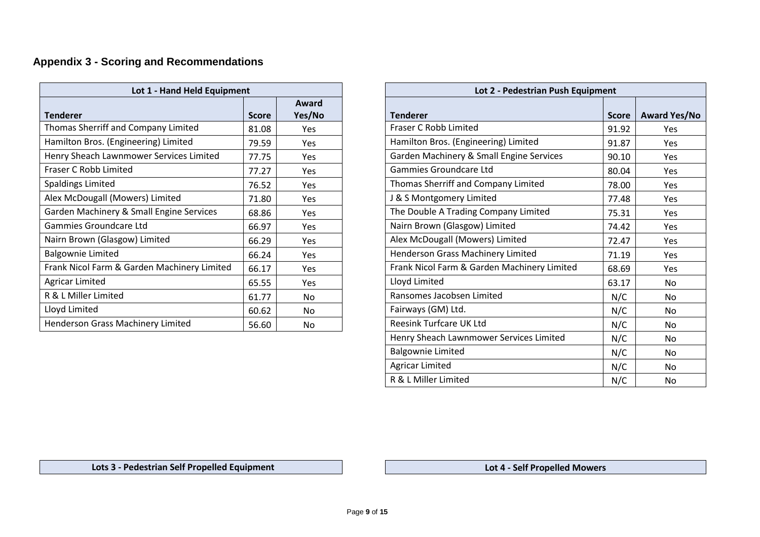# **Appendix 3 - Scoring and Recommendations**

| Lot 1 - Hand Held Equipment                 |              |                 | Lot 2 - Pedestrian Push Equipment           |              |
|---------------------------------------------|--------------|-----------------|---------------------------------------------|--------------|
| <b>Tenderer</b>                             | <b>Score</b> | Award<br>Yes/No | <b>Tenderer</b>                             | <b>Score</b> |
| Thomas Sherriff and Company Limited         | 81.08        | Yes             | Fraser C Robb Limited                       | 91.92        |
| Hamilton Bros. (Engineering) Limited        | 79.59        | Yes             | Hamilton Bros. (Engineering) Limited        | 91.87        |
| Henry Sheach Lawnmower Services Limited     | 77.75        | <b>Yes</b>      | Garden Machinery & Small Engine Services    | 90.10        |
| Fraser C Robb Limited                       | 77.27        | Yes             | Gammies Groundcare Ltd                      | 80.04        |
| <b>Spaldings Limited</b>                    | 76.52        | Yes             | Thomas Sherriff and Company Limited         | 78.00        |
| Alex McDougall (Mowers) Limited             | 71.80        | Yes             | <b>8 S Montgomery Limited</b>               | 77.48        |
| Garden Machinery & Small Engine Services    | 68.86        | Yes             | The Double A Trading Company Limited        | 75.31        |
| Gammies Groundcare Ltd                      | 66.97        | Yes             | Nairn Brown (Glasgow) Limited               | 74.42        |
| Nairn Brown (Glasgow) Limited               | 66.29        | Yes             | Alex McDougall (Mowers) Limited             | 72.47        |
| <b>Balgownie Limited</b>                    | 66.24        | Yes             | Henderson Grass Machinery Limited           | 71.19        |
| Frank Nicol Farm & Garden Machinery Limited | 66.17        | Yes             | Frank Nicol Farm & Garden Machinery Limited | 68.69        |
| <b>Agricar Limited</b>                      | 65.55        | Yes             | Lloyd Limited                               | 63.17        |
| R & L Miller Limited                        | 61.77        | No              | Ransomes Jacobsen Limited                   | N/C          |
| Lloyd Limited                               | 60.62        | No              | Fairways (GM) Ltd.                          | N/C          |
| Henderson Grass Machinery Limited           | 56.60        | No              | Reesink Turfcare UK Ltd                     | N/C          |

| Lot 1 - Hand Held Equipment  |              |                 | Lot 2 - Pedestrian Push Equipment           |              |                     |  |
|------------------------------|--------------|-----------------|---------------------------------------------|--------------|---------------------|--|
|                              | <b>Score</b> | Award<br>Yes/No | <b>Tenderer</b>                             | <b>Score</b> | <b>Award Yes/No</b> |  |
| Company Limited              | 81.08        | Yes             | Fraser C Robb Limited                       | 91.92        | Yes                 |  |
| eering) Limited              | 79.59        | Yes             | Hamilton Bros. (Engineering) Limited        | 91.87        | Yes                 |  |
| ower Services Limited        | 77.75        | Yes             | Garden Machinery & Small Engine Services    | 90.10        | Yes                 |  |
|                              | 77.27        | Yes             | Gammies Groundcare Ltd                      | 80.04        | Yes                 |  |
|                              | 76.52        | Yes             | Thomas Sherriff and Company Limited         | 78.00        | Yes                 |  |
| ers) Limited                 | 71.80        | Yes             | J & S Montgomery Limited                    | 77.48        | Yes                 |  |
| <b>Small Engine Services</b> | 68.86        | Yes             | The Double A Trading Company Limited        | 75.31        | Yes                 |  |
| Ltd                          | 66.97        | Yes             | Nairn Brown (Glasgow) Limited               | 74.42        | Yes                 |  |
| v) Limited                   | 66.29        | Yes             | Alex McDougall (Mowers) Limited             | 72.47        | Yes                 |  |
|                              | 66.24        | Yes             | Henderson Grass Machinery Limited           | 71.19        | Yes                 |  |
| arden Machinery Limited      | 66.17        | Yes             | Frank Nicol Farm & Garden Machinery Limited | 68.69        | Yes                 |  |
|                              | 65.55        | Yes             | Lloyd Limited                               | 63.17        | No                  |  |
|                              | 61.77        | No              | Ransomes Jacobsen Limited                   | N/C          | No                  |  |
|                              | 60.62        | No              | Fairways (GM) Ltd.                          | N/C          | No                  |  |
| hinery Limited:              | 56.60        | No              | <b>Reesink Turfcare UK Ltd</b>              | N/C          | <b>No</b>           |  |
|                              |              |                 | Henry Sheach Lawnmower Services Limited     | N/C          | No                  |  |
|                              |              |                 | <b>Balgownie Limited</b>                    | N/C          | No                  |  |
|                              |              |                 | <b>Agricar Limited</b>                      | N/C          | No                  |  |
|                              |              |                 | R & L Miller Limited                        | N/C          | No                  |  |

 **Lots 3 - Pedestrian Self Propelled Equipment Lot 4 - Self Propelled Mowers**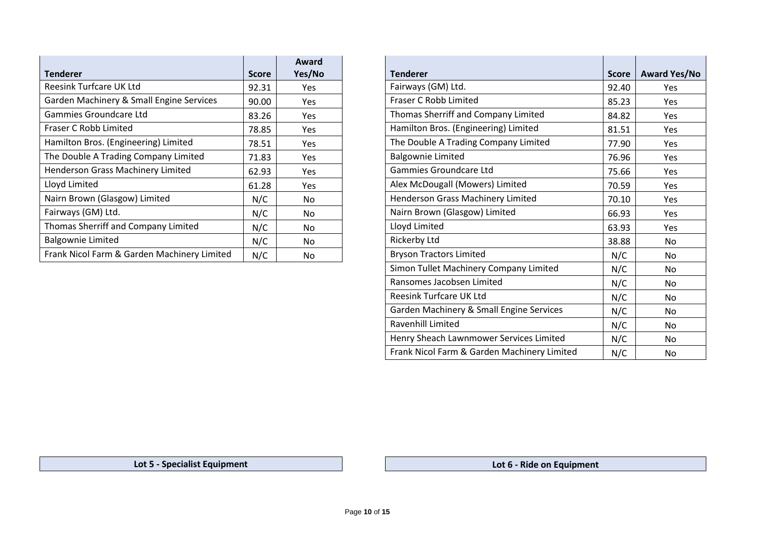| <b>Score</b> | Award<br>Yes/No | <b>Tenderer</b><br><b>Score</b>               | <b>Award Ye</b> |
|--------------|-----------------|-----------------------------------------------|-----------------|
| 92.31        | Yes             | Fairways (GM) Ltd.<br>92.40                   | Yes             |
| 90.00        | Yes             | Fraser C Robb Limited<br>85.23                | Yes             |
| 83.26        | Yes             | Thomas Sherriff and Company Limited<br>84.82  | Yes             |
| 78.85        | Yes             | Hamilton Bros. (Engineering) Limited<br>81.51 | Yes             |
| 78.51        | Yes             | The Double A Trading Company Limited<br>77.90 | Yes             |
| 71.83        | Yes             | <b>Balgownie Limited</b><br>76.96             | Yes             |
| 62.93        | Yes             | Gammies Groundcare Ltd<br>75.66               | Yes             |
| 61.28        | Yes             | Alex McDougall (Mowers) Limited<br>70.59      | Yes             |
| N/C          | No.             | Henderson Grass Machinery Limited<br>70.10    | Yes             |
| N/C          | No              | Nairn Brown (Glasgow) Limited<br>66.93        | Yes             |
| N/C          | <b>No</b>       | Lloyd Limited<br>63.93                        | Yes             |
| N/C          | No              | <b>Rickerby Ltd</b><br>38.88                  | No              |
| N/C          | <b>No</b>       | <b>Bryson Tractors Limited</b><br>N/C         | No              |
|              |                 |                                               |                 |

| <b>Award</b><br>Yes/No | <b>Tenderer</b>                             | <b>Score</b> | <b>Award Yes/No</b> |
|------------------------|---------------------------------------------|--------------|---------------------|
| Yes                    | Fairways (GM) Ltd.                          | 92.40        | Yes                 |
| Yes                    | Fraser C Robb Limited                       | 85.23        | <b>Yes</b>          |
| <b>Yes</b>             | Thomas Sherriff and Company Limited         | 84.82        | Yes                 |
| <b>Yes</b>             | Hamilton Bros. (Engineering) Limited        | 81.51        | <b>Yes</b>          |
| Yes                    | The Double A Trading Company Limited        | 77.90        | Yes                 |
| Yes                    | <b>Balgownie Limited</b>                    | 76.96        | Yes                 |
| <b>Yes</b>             | <b>Gammies Groundcare Ltd</b>               | 75.66        | <b>Yes</b>          |
| Yes                    | Alex McDougall (Mowers) Limited             | 70.59        | Yes                 |
| No                     | <b>Henderson Grass Machinery Limited</b>    | 70.10        | Yes                 |
| No                     | Nairn Brown (Glasgow) Limited               | 66.93        | <b>Yes</b>          |
| No                     | Lloyd Limited                               | 63.93        | Yes                 |
| No.                    | Rickerby Ltd                                | 38.88        | <b>No</b>           |
| No                     | <b>Bryson Tractors Limited</b>              | N/C          | No                  |
|                        | Simon Tullet Machinery Company Limited      | N/C          | <b>No</b>           |
|                        | Ransomes Jacobsen Limited                   | N/C          | No                  |
|                        | Reesink Turfcare UK Ltd                     | N/C          | No                  |
|                        | Garden Machinery & Small Engine Services    | N/C          | <b>No</b>           |
|                        | <b>Ravenhill Limited</b>                    | N/C          | <b>No</b>           |
|                        | Henry Sheach Lawnmower Services Limited     | N/C          | <b>No</b>           |
|                        | Frank Nicol Farm & Garden Machinery Limited | N/C          | No                  |

**Lot 5 - Specialist Equipment Lot 6 - Ride on Equipment**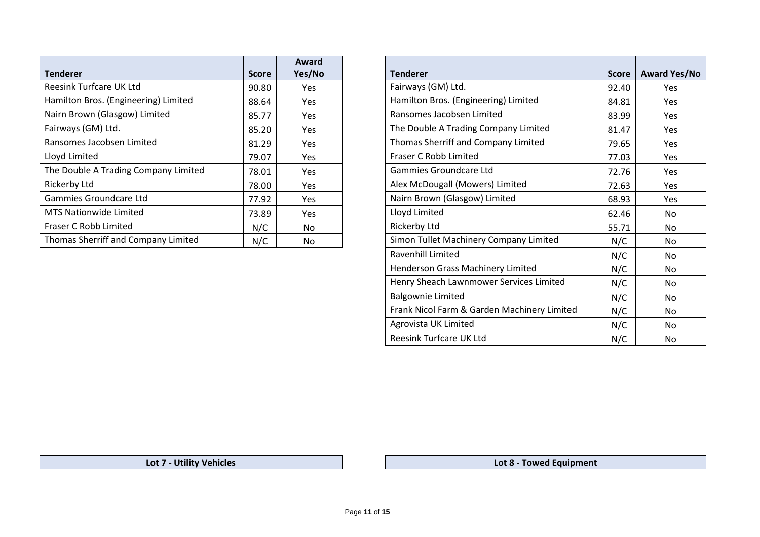| <b>Tenderer</b>                      | <b>Score</b> | Award<br>Yes/No | <b>Tenderer</b>                        | <b>Score</b> | <b>Award Y</b> |
|--------------------------------------|--------------|-----------------|----------------------------------------|--------------|----------------|
| <b>Reesink Turfcare UK Ltd</b>       | 90.80        | Yes             | Fairways (GM) Ltd.                     | 92.40        |                |
| Hamilton Bros. (Engineering) Limited | 88.64        | Yes             | Hamilton Bros. (Engineering) Limited   | 84.81        |                |
| Nairn Brown (Glasgow) Limited        | 85.77        | Yes             | Ransomes Jacobsen Limited              | 83.99        |                |
| Fairways (GM) Ltd.                   | 85.20        | Yes             | The Double A Trading Company Limited   | 81.47        |                |
| Ransomes Jacobsen Limited            | 81.29        | Yes             | Thomas Sherriff and Company Limited    | 79.65        |                |
| Lloyd Limited                        | 79.07        | Yes             | Fraser C Robb Limited                  | 77.03        |                |
| The Double A Trading Company Limited | 78.01        | Yes             | Gammies Groundcare Ltd                 | 72.76        |                |
| Rickerby Ltd                         | 78.00        | Yes             | Alex McDougall (Mowers) Limited        | 72.63        |                |
| Gammies Groundcare Ltd               | 77.92        | Yes             | Nairn Brown (Glasgow) Limited          | 68.93        |                |
| <b>MTS Nationwide Limited</b>        | 73.89        | Yes             | Lloyd Limited                          | 62.46        |                |
| <b>Fraser C Robb Limited</b>         | N/C          | <b>No</b>       | <b>Rickerby Ltd</b>                    | 55.71        |                |
| Thomas Sherriff and Company Limited  | N/C          | No              | Simon Tullet Machinery Company Limited | N/C          |                |
|                                      |              |                 |                                        |              |                |

| Award<br>Yes/No | <b>Tenderer</b>                             | <b>Score</b> | <b>Award Yes/No</b> |
|-----------------|---------------------------------------------|--------------|---------------------|
| <b>Yes</b>      | Fairways (GM) Ltd.                          | 92.40        | Yes                 |
| Yes             | Hamilton Bros. (Engineering) Limited        | 84.81        | <b>Yes</b>          |
| Yes             | Ransomes Jacobsen Limited                   | 83.99        | Yes                 |
| <b>Yes</b>      | The Double A Trading Company Limited        | 81.47        | Yes                 |
| <b>Yes</b>      | Thomas Sherriff and Company Limited         | 79.65        | <b>Yes</b>          |
| <b>Yes</b>      | Fraser C Robb Limited                       | 77.03        | <b>Yes</b>          |
| Yes             | Gammies Groundcare Ltd                      | 72.76        | Yes                 |
| Yes             | Alex McDougall (Mowers) Limited             | 72.63        | Yes                 |
| Yes             | Nairn Brown (Glasgow) Limited               | 68.93        | <b>Yes</b>          |
| <b>Yes</b>      | Lloyd Limited                               | 62.46        | No                  |
| No              | <b>Rickerby Ltd</b>                         | 55.71        | N <sub>o</sub>      |
| No              | Simon Tullet Machinery Company Limited      | N/C          | N <sub>o</sub>      |
|                 | Ravenhill Limited                           | N/C          | N <sub>o</sub>      |
|                 | Henderson Grass Machinery Limited           | N/C          | No.                 |
|                 | Henry Sheach Lawnmower Services Limited     | N/C          | No.                 |
|                 | <b>Balgownie Limited</b>                    | N/C          | No                  |
|                 | Frank Nicol Farm & Garden Machinery Limited | N/C          | <b>No</b>           |
|                 | Agrovista UK Limited                        | N/C          | No                  |
|                 | Reesink Turfcare UK Ltd                     | N/C          | No                  |

**Lot 7 - Utility Vehicles Lot 8 - Towed Equipment**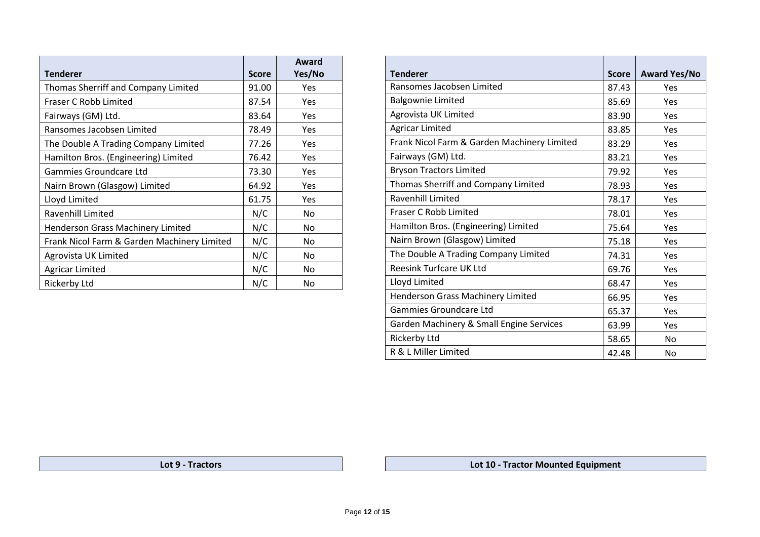| <b>Tenderer</b>                             | <b>Score</b> | Award<br>Yes/No | <b>Tenderer</b>                             | <b>Score</b> | <b>Award Y</b> |
|---------------------------------------------|--------------|-----------------|---------------------------------------------|--------------|----------------|
| Thomas Sherriff and Company Limited         | 91.00        | Yes             | Ransomes Jacobsen Limited                   | 87.43        | Yes            |
| Fraser C Robb Limited                       | 87.54        |                 | <b>Balgownie Limited</b>                    | 85.69        |                |
|                                             |              | Yes             | Agrovista UK Limited                        |              | Yes            |
| Fairways (GM) Ltd.                          | 83.64        | Yes             |                                             | 83.90        | Yes            |
| Ransomes Jacobsen Limited                   | 78.49        | Yes             | <b>Agricar Limited</b>                      | 83.85        | Yes            |
| The Double A Trading Company Limited        | 77.26        | Yes             | Frank Nicol Farm & Garden Machinery Limited | 83.29        | Yes            |
| Hamilton Bros. (Engineering) Limited        | 76.42        | Yes             | Fairways (GM) Ltd.                          | 83.21        | Yes            |
| Gammies Groundcare Ltd                      | 73.30        | Yes             | <b>Bryson Tractors Limited</b>              | 79.92        | Yes            |
| Nairn Brown (Glasgow) Limited               | 64.92        | Yes             | Thomas Sherriff and Company Limited         | 78.93        | Yes            |
| Lloyd Limited                               | 61.75        | Yes             | Ravenhill Limited                           | 78.17        | Yes            |
| Ravenhill Limited                           | N/C          | No              | Fraser C Robb Limited                       | 78.01        | Yes            |
| Henderson Grass Machinery Limited           | N/C          | No              | Hamilton Bros. (Engineering) Limited        | 75.64        | Yes            |
| Frank Nicol Farm & Garden Machinery Limited | N/C          | No              | Nairn Brown (Glasgow) Limited               | 75.18        | Yes            |
| Agrovista UK Limited                        | N/C          | No              | The Double A Trading Company Limited        | 74.31        | Yes            |
| <b>Agricar Limited</b>                      | N/C          | No              | <b>Reesink Turfcare UK Ltd</b>              | 69.76        | Yes            |
| Rickerby Ltd                                | N/C          | No              | Lloyd Limited                               | 68.47        | Yes            |

| Award<br>Yes/No | <b>Tenderer</b>                             | <b>Score</b> | <b>Award Yes/No</b> |
|-----------------|---------------------------------------------|--------------|---------------------|
| Yes             | Ransomes Jacobsen Limited                   | 87.43        | Yes                 |
| Yes             | <b>Balgownie Limited</b>                    | 85.69        | Yes                 |
| Yes             | Agrovista UK Limited                        | 83.90        | Yes                 |
| Yes             | <b>Agricar Limited</b>                      | 83.85        | Yes                 |
| Yes             | Frank Nicol Farm & Garden Machinery Limited | 83.29        | Yes                 |
| Yes             | Fairways (GM) Ltd.                          | 83.21        | Yes                 |
| Yes             | <b>Bryson Tractors Limited</b>              | 79.92        | Yes                 |
| Yes             | Thomas Sherriff and Company Limited         | 78.93        | Yes                 |
| Yes             | Ravenhill Limited                           | 78.17        | Yes                 |
| No              | Fraser C Robb Limited                       | 78.01        | Yes                 |
| No              | Hamilton Bros. (Engineering) Limited        | 75.64        | Yes                 |
| No              | Nairn Brown (Glasgow) Limited               | 75.18        | Yes                 |
| No              | The Double A Trading Company Limited        | 74.31        | Yes                 |
| No              | Reesink Turfcare UK Ltd                     | 69.76        | Yes                 |
| No              | Lloyd Limited                               | 68.47        | Yes                 |
|                 | Henderson Grass Machinery Limited           | 66.95        | Yes                 |
|                 | <b>Gammies Groundcare Ltd</b>               | 65.37        | Yes                 |
|                 | Garden Machinery & Small Engine Services    | 63.99        | Yes                 |
|                 | <b>Rickerby Ltd</b>                         | 58.65        | <b>No</b>           |
|                 | R & L Miller Limited                        | 42.48        | No                  |

**Lot 9 - Tractors Lot 10 - Tractor Mounted Equipment**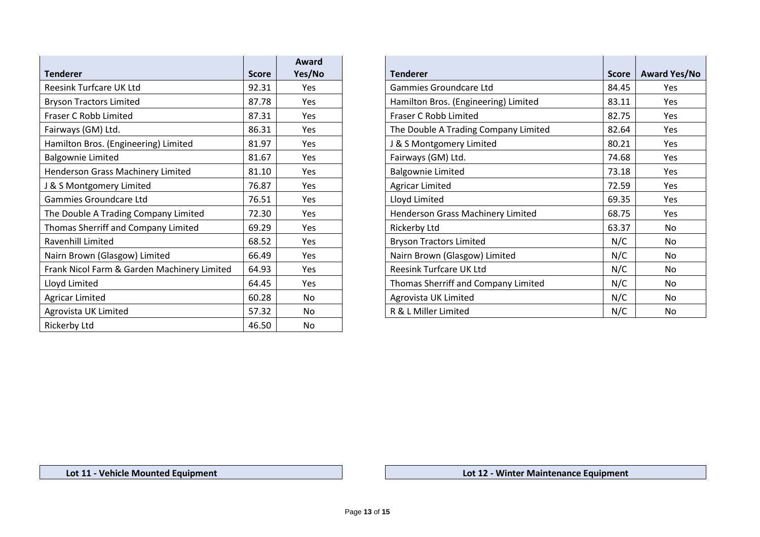|                                             |              | Award      |                                      |              |                |
|---------------------------------------------|--------------|------------|--------------------------------------|--------------|----------------|
| <b>Tenderer</b>                             | <b>Score</b> | Yes/No     | <b>Tenderer</b>                      | <b>Score</b> | <b>Award Y</b> |
| Reesink Turfcare UK Ltd                     | 92.31        | Yes        | Gammies Groundcare Ltd               | 84.45        | Yes            |
| <b>Bryson Tractors Limited</b>              | 87.78        | Yes        | Hamilton Bros. (Engineering) Limited | 83.11        | Yes            |
| Fraser C Robb Limited                       | 87.31        | Yes        | Fraser C Robb Limited                | 82.75        | Yes            |
| Fairways (GM) Ltd.                          | 86.31        | Yes        | The Double A Trading Company Limited | 82.64        | Yes            |
| Hamilton Bros. (Engineering) Limited        | 81.97        | Yes        | J & S Montgomery Limited             | 80.21        | Yes            |
| <b>Balgownie Limited</b>                    | 81.67        | Yes        | Fairways (GM) Ltd.                   | 74.68        | Yes            |
| Henderson Grass Machinery Limited           | 81.10        | Yes        | <b>Balgownie Limited</b>             | 73.18        | Yes            |
| J & S Montgomery Limited                    | 76.87        | Yes        | <b>Agricar Limited</b>               | 72.59        | Yes            |
| Gammies Groundcare Ltd                      | 76.51        | Yes        | Lloyd Limited                        | 69.35        | Yes            |
| The Double A Trading Company Limited        | 72.30        | Yes        | Henderson Grass Machinery Limited    | 68.75        | Yes            |
| Thomas Sherriff and Company Limited         | 69.29        | Yes        | Rickerby Ltd                         | 63.37        | No             |
| Ravenhill Limited                           | 68.52        | Yes        | <b>Bryson Tractors Limited</b>       | N/C          | No             |
| Nairn Brown (Glasgow) Limited               | 66.49        | <b>Yes</b> | Nairn Brown (Glasgow) Limited        | N/C          | No             |
| Frank Nicol Farm & Garden Machinery Limited | 64.93        | Yes        | <b>Reesink Turfcare UK Ltd</b>       | N/C          | No             |
| Lloyd Limited                               | 64.45        | Yes        | Thomas Sherriff and Company Limited  | N/C          | No             |
| <b>Agricar Limited</b>                      | 60.28        | No         | Agrovista UK Limited                 | N/C          | No             |
| Agrovista UK Limited                        | 57.32        | No         | R & L Miller Limited                 | N/C          | No             |
| Rickerby Ltd                                | 46.50        | No         |                                      |              |                |

| Award<br>Yes/No | <b>Tenderer</b>                      | <b>Score</b> | <b>Award Yes/No</b> |
|-----------------|--------------------------------------|--------------|---------------------|
| Yes             | Gammies Groundcare Ltd               | 84.45        | <b>Yes</b>          |
| <b>Yes</b>      | Hamilton Bros. (Engineering) Limited | 83.11        | Yes                 |
| <b>Yes</b>      | Fraser C Robb Limited                | 82.75        | Yes                 |
| Yes             | The Double A Trading Company Limited | 82.64        | Yes                 |
| <b>Yes</b>      | J & S Montgomery Limited             | 80.21        | Yes                 |
| <b>Yes</b>      | Fairways (GM) Ltd.                   | 74.68        | Yes                 |
| <b>Yes</b>      | <b>Balgownie Limited</b>             | 73.18        | Yes                 |
| Yes             | <b>Agricar Limited</b>               | 72.59        | Yes                 |
| Yes             | Lloyd Limited                        | 69.35        | <b>Yes</b>          |
| Yes             | Henderson Grass Machinery Limited    | 68.75        | Yes                 |
| Yes             | <b>Rickerby Ltd</b>                  | 63.37        | No                  |
| Yes             | <b>Bryson Tractors Limited</b>       | N/C          | No.                 |
| Yes             | Nairn Brown (Glasgow) Limited        | N/C          | No                  |
| Yes             | <b>Reesink Turfcare UK Ltd</b>       | N/C          | No.                 |
| Yes             | Thomas Sherriff and Company Limited  | N/C          | No.                 |
| No              | Agrovista UK Limited                 | N/C          | No.                 |
| No              | R & L Miller Limited                 | N/C          | No                  |

**Lot 11 - Vehicle Mounted Equipment Lot 12 - Winter Maintenance Equipment**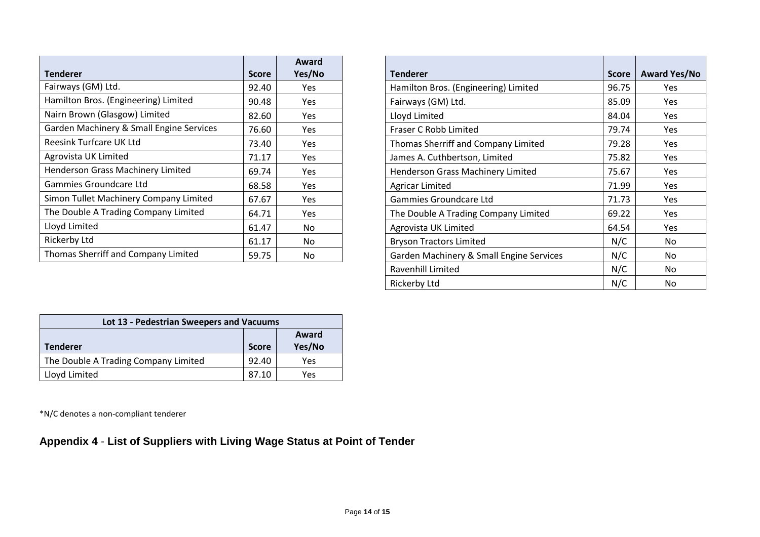| <b>Tenderer</b>                          | <b>Score</b> | Award<br>Yes/No | <b>Tenderer</b><br><b>Score</b>               | <b>Award Ye</b> |
|------------------------------------------|--------------|-----------------|-----------------------------------------------|-----------------|
| Fairways (GM) Ltd.                       | 92.40        | Yes             | Hamilton Bros. (Engineering) Limited<br>96.75 | Yes             |
| Hamilton Bros. (Engineering) Limited     | 90.48        | Yes             | Fairways (GM) Ltd.<br>85.09                   | Yes             |
| Nairn Brown (Glasgow) Limited            | 82.60        | Yes             | Lloyd Limited<br>84.04                        | Yes             |
| Garden Machinery & Small Engine Services | 76.60        | Yes             | Fraser C Robb Limited<br>79.74                | Yes             |
| <b>Reesink Turfcare UK Ltd</b>           | 73.40        | Yes             | Thomas Sherriff and Company Limited<br>79.28  | Yes             |
| Agrovista UK Limited                     | 71.17        | Yes             | James A. Cuthbertson, Limited<br>75.82        | Yes             |
| Henderson Grass Machinery Limited        | 69.74        | Yes             | Henderson Grass Machinery Limited<br>75.67    | Yes             |
| Gammies Groundcare Ltd                   | 68.58        | Yes             | 71.99<br><b>Agricar Limited</b>               | Yes             |
| Simon Tullet Machinery Company Limited   | 67.67        | Yes             | Gammies Groundcare Ltd<br>71.73               | Yes             |
| The Double A Trading Company Limited     | 64.71        | Yes             | The Double A Trading Company Limited<br>69.22 | Yes             |
| Lloyd Limited                            | 61.47        | <b>No</b>       | 64.54<br>Agrovista UK Limited                 | Yes             |
| Rickerby Ltd                             | 61.17        | No              | N/C<br><b>Bryson Tractors Limited</b>         | No              |
| Thomas Sherriff and Company Limited      | 59.75        | No              | Garden Machinery & Small Engine Services      | N/C<br>No       |

| Award<br>Yes/No | <b>Tenderer</b>                          | <b>Score</b> | <b>Award Yes/No</b> |
|-----------------|------------------------------------------|--------------|---------------------|
| <b>Yes</b>      | Hamilton Bros. (Engineering) Limited     | 96.75        | <b>Yes</b>          |
| Yes             | Fairways (GM) Ltd.                       | 85.09        | <b>Yes</b>          |
| Yes             | Lloyd Limited                            | 84.04        | Yes                 |
| Yes             | Fraser C Robb Limited                    | 79.74        | <b>Yes</b>          |
| <b>Yes</b>      | Thomas Sherriff and Company Limited      | 79.28        | Yes                 |
| Yes             | James A. Cuthbertson, Limited            | 75.82        | <b>Yes</b>          |
| Yes             | Henderson Grass Machinery Limited        | 75.67        | Yes                 |
| Yes             | <b>Agricar Limited</b>                   | 71.99        | <b>Yes</b>          |
| Yes             | Gammies Groundcare Ltd                   | 71.73        | Yes                 |
| <b>Yes</b>      | The Double A Trading Company Limited     | 69.22        | <b>Yes</b>          |
| No.             | Agrovista UK Limited                     | 64.54        | Yes                 |
| No.             | <b>Bryson Tractors Limited</b>           | N/C          | No.                 |
| No.             | Garden Machinery & Small Engine Services | N/C          | No                  |
|                 | Ravenhill Limited                        | N/C          | No.                 |
|                 | <b>Rickerby Ltd</b>                      | N/C          | No                  |

| Lot 13 - Pedestrian Sweepers and Vacuums |              |                 |  |  |  |  |
|------------------------------------------|--------------|-----------------|--|--|--|--|
| <b>Tenderer</b>                          | <b>Score</b> | Award<br>Yes/No |  |  |  |  |
|                                          |              |                 |  |  |  |  |
| The Double A Trading Company Limited     | 92.40        | Yes             |  |  |  |  |
| Lloyd Limited                            | 87.10        | Yes             |  |  |  |  |

\*N/C denotes a non-compliant tenderer

# **Appendix 4** - **List of Suppliers with Living Wage Status at Point of Tender**